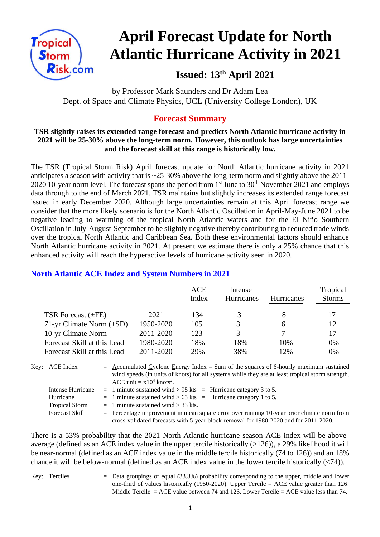

# **April Forecast Update for North Atlantic Hurricane Activity in 2021**

**Issued: 13th April 2021**

by Professor Mark Saunders and Dr Adam Lea Dept. of Space and Climate Physics, UCL (University College London), UK

# **Forecast Summary**

#### **TSR slightly raises its extended range forecast and predicts North Atlantic hurricane activity in 2021 will be 25-30% above the long-term norm. However, this outlook has large uncertainties and the forecast skill at this range is historically low.**

The TSR (Tropical Storm Risk) April forecast update for North Atlantic hurricane activity in 2021 anticipates a season with activity that is ~25-30% above the long-term norm and slightly above the 2011- 2020 10-year norm level. The forecast spans the period from  $1<sup>st</sup>$  June to  $30<sup>th</sup>$  November 2021 and employs data through to the end of March 2021. TSR maintains but slightly increases its extended range forecast issued in early December 2020. Although large uncertainties remain at this April forecast range we consider that the more likely scenario is for the North Atlantic Oscillation in April-May-June 2021 to be negative leading to warming of the tropical North Atlantic waters and for the El Niño Southern Oscillation in July-August-September to be slightly negative thereby contributing to reduced trade winds over the tropical North Atlantic and Caribbean Sea. Both these environmental factors should enhance North Atlantic hurricane activity in 2021. At present we estimate there is only a 25% chance that this enhanced activity will reach the hyperactive levels of hurricane activity seen in 2020.

|                               |           | <b>ACE</b><br>Index | Intense<br>Hurricanes | <b>Hurricanes</b> | Tropical<br><b>Storms</b> |
|-------------------------------|-----------|---------------------|-----------------------|-------------------|---------------------------|
| TSR Forecast $(\pm FE)$       | 2021      | 134                 | 3                     |                   | 17                        |
| 71-yr Climate Norm $(\pm SD)$ | 1950-2020 | 105                 | 3                     | <sub>6</sub>      | 12                        |
| 10-yr Climate Norm            | 2011-2020 | 123                 | 3                     |                   |                           |
| Forecast Skill at this Lead   | 1980-2020 | 18%                 | 18%                   | 10%               | 0%                        |
| Forecast Skill at this Lead   | 2011-2020 | 29%                 | 38%                   | 12%               | 0%                        |
|                               |           |                     |                       |                   |                           |

# **North Atlantic ACE Index and System Numbers in 2021**

| Key: ACE Index                                          | $=$ Accumulated Cyclone Energy Index $=$ Sum of the squares of 6-hourly maximum sustained<br>wind speeds (in units of knots) for all systems while they are at least tropical storm strength.<br>ACE unit = $x10^4$ knots <sup>2</sup> . |
|---------------------------------------------------------|------------------------------------------------------------------------------------------------------------------------------------------------------------------------------------------------------------------------------------------|
| Intense Hurricane<br>Hurricane<br><b>Tropical Storm</b> | $=$ 1 minute sustained wind > 95 kts $=$ Hurricane category 3 to 5.<br>$=$ 1 minute sustained wind > 63 kts = Hurricane category 1 to 5.<br>$=$ 1 minute sustained wind > 33 kts.                                                        |
| <b>Forecast Skill</b>                                   | $=$ Percentage improvement in mean square error over running 10-year prior climate norm from<br>cross-validated forecasts with 5-year block-removal for 1980-2020 and for 2011-2020.                                                     |

There is a 53% probability that the 2021 North Atlantic hurricane season ACE index will be aboveaverage (defined as an ACE index value in the upper tercile historically (>126)), a 29% likelihood it will be near-normal (defined as an ACE index value in the middle tercile historically (74 to 126)) and an 18% chance it will be below-normal (defined as an ACE index value in the lower tercile historically (<74)).

Key: Terciles = Data groupings of equal (33.3%) probability corresponding to the upper, middle and lower one-third of values historically (1950-2020). Upper Tercile = ACE value greater than 126. Middle Tercile  $=$  ACE value between 74 and 126. Lower Tercile  $=$  ACE value less than 74.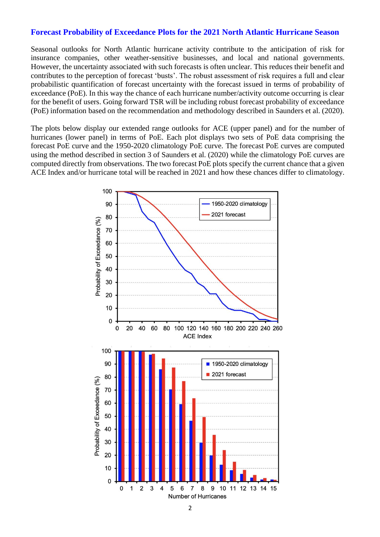#### **Forecast Probability of Exceedance Plots for the 2021 North Atlantic Hurricane Season**

Seasonal outlooks for North Atlantic hurricane activity contribute to the anticipation of risk for insurance companies, other weather-sensitive businesses, and local and national governments. However, the uncertainty associated with such forecasts is often unclear. This reduces their benefit and contributes to the perception of forecast 'busts'. The robust assessment of risk requires a full and clear probabilistic quantification of forecast uncertainty with the forecast issued in terms of probability of exceedance (PoE). In this way the chance of each hurricane number/activity outcome occurring is clear for the benefit of users. Going forward TSR will be including robust forecast probability of exceedance (PoE) information based on the recommendation and methodology described in Saunders et al. (2020).

The plots below display our extended range outlooks for ACE (upper panel) and for the number of hurricanes (lower panel) in terms of PoE. Each plot displays two sets of PoE data comprising the forecast PoE curve and the 1950-2020 climatology PoE curve. The forecast PoE curves are computed using the method described in section 3 of Saunders et al. (2020) while the climatology PoE curves are computed directly from observations. The two forecast PoE plots specify the current chance that a given ACE Index and/or hurricane total will be reached in 2021 and how these chances differ to climatology.

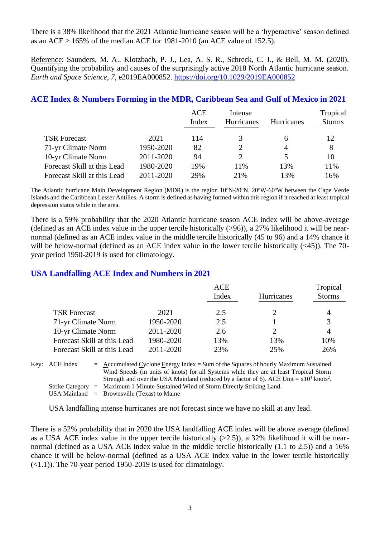There is a 38% likelihood that the 2021 Atlantic hurricane season will be a 'hyperactive' season defined as an ACE  $\geq$  165% of the median ACE for 1981-2010 (an ACE value of 152.5).

Reference: Saunders, M. A., Klotzbach, P. J., Lea, A. S. R., Schreck, C. J., & Bell, M. M. (2020). Quantifying the probability and causes of the surprisingly active 2018 North Atlantic hurricane season. *Earth and Space Science*, *7*, e2019EA000852.<https://doi.org/10.1029/2019EA000852>

# **ACE Index & Numbers Forming in the MDR, Caribbean Sea and Gulf of Mexico in 2021**

|                             |           | <b>ACE</b><br>Index | Intense<br>Hurricanes | <b>Hurricanes</b> | Tropical<br><b>Storms</b> |
|-----------------------------|-----------|---------------------|-----------------------|-------------------|---------------------------|
|                             |           |                     |                       |                   |                           |
| <b>TSR Forecast</b>         | 2021      | 114                 |                       | h                 | 12                        |
| 71-yr Climate Norm          | 1950-2020 | 82                  | 2                     |                   | 8                         |
| 10-yr Climate Norm          | 2011-2020 | 94                  | 2                     |                   | 10                        |
| Forecast Skill at this Lead | 1980-2020 | 19%                 | 11%                   | 13%               | 11%                       |
| Forecast Skill at this Lead | 2011-2020 | 29%                 | 21%                   | 13%               | 16%                       |

The Atlantic hurricane Main Development Region (MDR) is the region  $10^{\circ}N-20^{\circ}N$ ,  $20^{\circ}W-60^{\circ}W$  between the Cape Verde Islands and the Caribbean Lesser Antilles. A storm is defined as having formed within this region if it reached at least tropical depression status while in the area.

There is a 59% probability that the 2020 Atlantic hurricane season ACE index will be above-average (defined as an ACE index value in the upper tercile historically (>96)), a 27% likelihood it will be nearnormal (defined as an ACE index value in the middle tercile historically (45 to 96) and a 14% chance it will be below-normal (defined as an ACE index value in the lower tercile historically  $(\leq 45)$ ). The 70year period 1950-2019 is used for climatology.

## **USA Landfalling ACE Index and Numbers in 2021**

|                             |           | <b>ACE</b><br>Index | Hurricanes | Tropical<br><b>Storms</b> |
|-----------------------------|-----------|---------------------|------------|---------------------------|
| <b>TSR Forecast</b>         | 2021      | 2.5                 |            | 4                         |
| 71-yr Climate Norm          | 1950-2020 | 2.5                 |            | 3                         |
| 10-yr Climate Norm          | 2011-2020 | 2.6                 |            | 4                         |
| Forecast Skill at this Lead | 1980-2020 | 13%                 | 13%        | 10%                       |
| Forecast Skill at this Lead | 2011-2020 | 23%                 | 25%        | 26%                       |

Key: ACE Index = Accumulated Cyclone Energy Index = Sum of the Squares of hourly Maximum Sustained Wind Speeds (in units of knots) for all Systems while they are at least Tropical Storm Strength and over the USA Mainland (reduced by a factor of 6). ACE Unit =  $x10^4$  knots<sup>2</sup>. Strike Category = Maximum 1 Minute Sustained Wind of Storm Directly Striking Land. USA Mainland  $=$  Brownsville (Texas) to Maine

USA landfalling intense hurricanes are not forecast since we have no skill at any lead.

There is a 52% probability that in 2020 the USA landfalling ACE index will be above average (defined as a USA ACE index value in the upper tercile historically  $(>2.5)$ ), a 32% likelihood it will be nearnormal (defined as a USA ACE index value in the middle tercile historically (1.1 to 2.5)) and a 16% chance it will be below-normal (defined as a USA ACE index value in the lower tercile historically (<1.1)). The 70-year period 1950-2019 is used for climatology.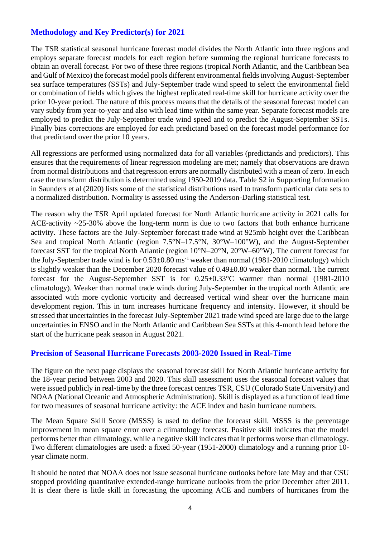# **Methodology and Key Predictor(s) for 2021**

The TSR statistical seasonal hurricane forecast model divides the North Atlantic into three regions and employs separate forecast models for each region before summing the regional hurricane forecasts to obtain an overall forecast. For two of these three regions (tropical North Atlantic, and the Caribbean Sea and Gulf of Mexico) the forecast model pools different environmental fields involving August-September sea surface temperatures (SSTs) and July-September trade wind speed to select the environmental field or combination of fields which gives the highest replicated real-time skill for hurricane activity over the prior 10-year period. The nature of this process means that the details of the seasonal forecast model can vary subtly from year-to-year and also with lead time within the same year. Separate forecast models are employed to predict the July-September trade wind speed and to predict the August-September SSTs. Finally bias corrections are employed for each predictand based on the forecast model performance for that predictand over the prior 10 years.

All regressions are performed using normalized data for all variables (predictands and predictors). This ensures that the requirements of linear regression modeling are met; namely that observations are drawn from normal distributions and that regression errors are normally distributed with a mean of zero. In each case the transform distribution is determined using 1950-2019 data. Table S2 in Supporting Information in Saunders et al (2020) lists some of the statistical distributions used to transform particular data sets to a normalized distribution. Normality is assessed using the Anderson-Darling statistical test.

The reason why the TSR April updated forecast for North Atlantic hurricane activity in 2021 calls for ACE-activity ~25-30% above the long-term norm is due to two factors that both enhance hurricane activity. These factors are the July-September forecast trade wind at 925mb height over the Caribbean Sea and tropical North Atlantic (region 7.5°N–17.5°N, 30°W–100°W), and the August-September forecast SST for the tropical North Atlantic (region 10°N–20°N, 20°W–60°W). The current forecast for the July-September trade wind is for  $0.53\pm0.80$  ms<sup>-1</sup> weaker than normal (1981-2010 climatology) which is slightly weaker than the December 2020 forecast value of 0.49±0.80 weaker than normal. The current forecast for the August-September SST is for 0.25±0.33°C warmer than normal (1981-2010 climatology). Weaker than normal trade winds during July-September in the tropical north Atlantic are associated with more cyclonic vorticity and decreased vertical wind shear over the hurricane main development region. This in turn increases hurricane frequency and intensity. However, it should be stressed that uncertainties in the forecast July-September 2021 trade wind speed are large due to the large uncertainties in ENSO and in the North Atlantic and Caribbean Sea SSTs at this 4-month lead before the start of the hurricane peak season in August 2021.

#### **Precision of Seasonal Hurricane Forecasts 2003-2020 Issued in Real-Time**

The figure on the next page displays the seasonal forecast skill for North Atlantic hurricane activity for the 18-year period between 2003 and 2020. This skill assessment uses the seasonal forecast values that were issued publicly in real-time by the three forecast centres TSR, CSU (Colorado State University) and NOAA (National Oceanic and Atmospheric Administration). Skill is displayed as a function of lead time for two measures of seasonal hurricane activity: the ACE index and basin hurricane numbers.

The Mean Square Skill Score (MSSS) is used to define the forecast skill. MSSS is the percentage improvement in mean square error over a climatology forecast. Positive skill indicates that the model performs better than climatology, while a negative skill indicates that it performs worse than climatology. Two different climatologies are used: a fixed 50-year (1951-2000) climatology and a running prior 10 year climate norm.

It should be noted that NOAA does not issue seasonal hurricane outlooks before late May and that CSU stopped providing quantitative extended-range hurricane outlooks from the prior December after 2011. It is clear there is little skill in forecasting the upcoming ACE and numbers of hurricanes from the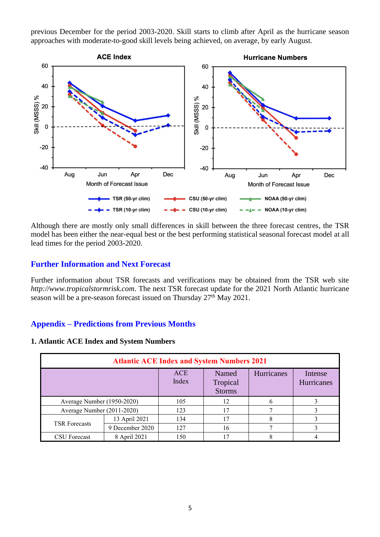previous December for the period 2003-2020. Skill starts to climb after April as the hurricane season approaches with moderate-to-good skill levels being achieved, on average, by early August.



Although there are mostly only small differences in skill between the three forecast centres, the TSR model has been either the near-equal best or the best performing statistical seasonal forecast model at all lead times for the period 2003-2020.

### **Further Information and Next Forecast**

Further information about TSR forecasts and verifications may be obtained from the TSR web site *http://www.tropicalstormrisk.com*. The next TSR forecast update for the 2021 North Atlantic hurricane season will be a pre-season forecast issued on Thursday  $27<sup>th</sup>$  May 2021.

#### **Appendix – Predictions from Previous Months**

#### **1. Atlantic ACE Index and System Numbers**

| <b>Atlantic ACE Index and System Numbers 2021</b> |                 |                     |                                    |            |                              |  |
|---------------------------------------------------|-----------------|---------------------|------------------------------------|------------|------------------------------|--|
|                                                   |                 | <b>ACE</b><br>Index | Named<br>Tropical<br><b>Storms</b> | Hurricanes | Intense<br><b>Hurricanes</b> |  |
| Average Number (1950-2020)                        |                 | 105                 | 12                                 |            |                              |  |
| Average Number (2011-2020)                        |                 | 123                 | 17                                 |            |                              |  |
| <b>TSR</b> Forecasts                              | 13 April 2021   | 134                 | 17                                 |            |                              |  |
|                                                   | 9 December 2020 | 127                 | 16                                 |            |                              |  |
| 8 April 2021<br>CSU Forecast                      |                 | 150                 | 17                                 |            |                              |  |